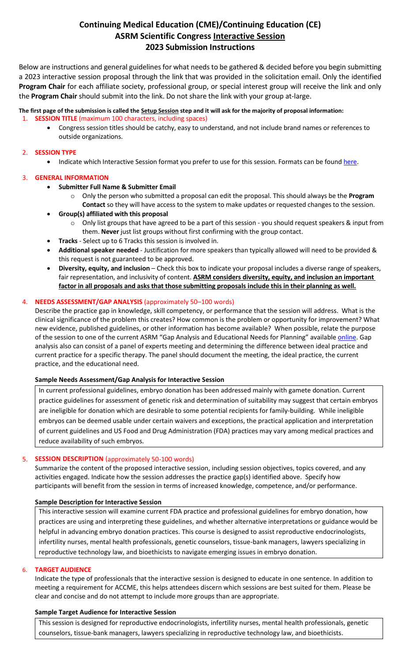# **Continuing Medical Education (CME)/Continuing Education (CE) ASRM Scientific Congress Interactive Session 2023 Submission Instructions**

Below are instructions and general guidelines for what needs to be gathered & decided before you begin submitting a 2023 interactive session proposal through the link that was provided in the solicitation email. Only the identified **Program Chair** for each affiliate society, professional group, or special interest group will receive the link and only the **Program Chair** should submit into the link. Do not share the link with your group at-large.

#### **The first page of the submission is called the Setup Session step and it will ask for the majority of proposal information:** 1. **SESSION TITLE** (maximum 100 characters, including spaces)

• Congress session titles should be catchy, easy to understand, and not include brand names or references to outside organizations.

### 2. **SESSION TYPE**

• Indicate which Interactive Session format you prefer to use for this session. Formats can be found [here.](https://asrmcongress.org/presenters/#Planning)

### 3. **GENERAL INFORMATION**

- **Submitter Full Name & Submitter Email** 
	- o Only the person who submitted a proposal can edit the proposal. This should always be the **Program Contact** so they will have access to the system to make updates or requested changes to the session.
- **Group(s) affiliated with this proposal**
	- Only list groups that have agreed to be a part of this session you should request speakers & input from them. **Never** just list groups without first confirming with the group contact.
- **Tracks** Select up to 6 Tracks this session is involved in.
- **Additional speaker needed** Justification for more speakers than typically allowed will need to be provided & this request is not guaranteed to be approved.
- **Diversity, equity, and inclusion**  Check this box to indicate your proposal includes a diverse range of speakers, fair representation, and inclusivity of content. **ASRM considers diversity, equity, and inclusion an important factor in all proposals and asks that those submitting proposals include this in their planning as well.**

# 4. **NEEDS ASSESSMENT/GAP ANALYSIS** (approximately 50–100 words)

Describe the practice gap in knowledge, skill competency, or performance that the session will address. What is the clinical significance of the problem this creates? How common is the problem or opportunity for improvement? What new evidence, published guidelines, or other information has become available? When possible, relate the purpose of the session to one of the current ASRM "Gap Analysis and Educational Needs for Planning" available *online*. Gap analysis also can consist of a panel of experts meeting and determining the difference between ideal practice and current practice for a specific therapy. The panel should document the meeting, the ideal practice, the current practice, and the educational need.

### **Sample Needs Assessment/Gap Analysis for Interactive Session**

In current professional guidelines, embryo donation has been addressed mainly with gamete donation. Current practice guidelines for assessment of genetic risk and determination of suitability may suggest that certain embryos are ineligible for donation which are desirable to some potential recipients for family-building. While ineligible embryos can be deemed usable under certain waivers and exceptions, the practical application and interpretation of current guidelines and US Food and Drug Administration (FDA) practices may vary among medical practices and reduce availability of such embryos.

### 5. **SESSION DESCRIPTION** (approximately 50-100 words)

Summarize the content of the proposed interactive session, including session objectives, topics covered, and any activities engaged. Indicate how the session addresses the practice gap(s) identified above. Specify how participants will benefit from the session in terms of increased knowledge, competence, and/or performance.

### **Sample Description for Interactive Session**

This interactive session will examine current FDA practice and professional guidelines for embryo donation, how practices are using and interpreting these guidelines, and whether alternative interpretations or guidance would be helpful in advancing embryo donation practices. This course is designed to assist reproductive endocrinologists, infertility nurses, mental health professionals, genetic counselors, tissue-bank managers, lawyers specializing in reproductive technology law, and bioethicists to navigate emerging issues in embryo donation.

### 6. **TARGET AUDIENCE**

Indicate the type of professionals that the interactive session is designed to educate in one sentence. In addition to meeting a requirement for ACCME, this helps attendees discern which sessions are best suited for them. Please be clear and concise and do not attempt to include more groups than are appropriate.

### **Sample Target Audience for Interactive Session**

This session is designed for reproductive endocrinologists, infertility nurses, mental health professionals, genetic counselors, tissue-bank managers, lawyers specializing in reproductive technology law, and bioethicists.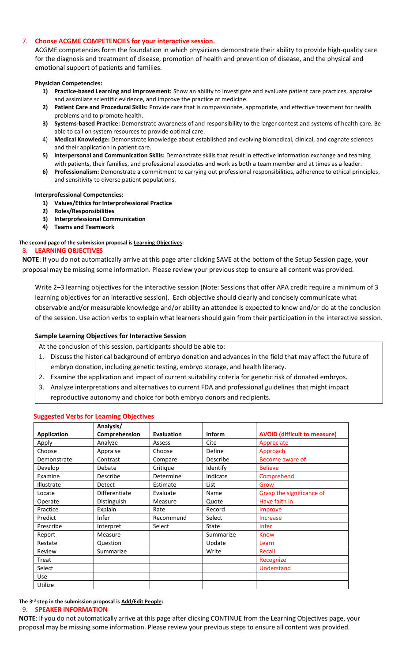### 7. **Choose ACGME COMPETENCIES for your interactive session.**

ACGME competencies form the foundation in which physicians demonstrate their ability to provide high-quality care for the diagnosis and treatment of disease, promotion of health and prevention of disease, and the physical and emotional support of patients and families.

#### **Physician Competencies:**

- **1) Practice-based Learning and Improvement:** Show an ability to investigate and evaluate patient care practices, appraise and assimilate scientific evidence, and improve the practice of medicine.
- **2) Patient Care and Procedural Skills:** Provide care that is compassionate, appropriate, and effective treatment for health problems and to promote health.
- **3) Systems-based Practice:** Demonstrate awareness of and responsibility to the larger contest and systems of health care. Be able to call on system resources to provide optimal care.
- 4) **Medical Knowledge:** Demonstrate knowledge about established and evolving biomedical, clinical, and cognate sciences and their application in patient care.
- **5) Interpersonal and Communication Skills:** Demonstrate skills that result in effective information exchange and teaming with patients, their families, and professional associates and work as both a team member and at times as a leader.
- **6) Professionalism:** Demonstrate a commitment to carrying out professional responsibilities, adherence to ethical principles, and sensitivity to diverse patient populations.

#### **Interprofessional Competencies:**

#### **1) Values/Ethics for Interprofessional Practice**

- **2) Roles/Responsibilities**
- **3) Interprofessional Communication**
- **4) Teams and Teamwork**

#### **The second page of the submission proposal is Learning Objectives:**

#### 8. **LEARNING OBJECTIVES**

**NOTE**: if you do not automatically arrive at this page after clicking SAVE at the bottom of the Setup Session page, your proposal may be missing some information. Please review your previous step to ensure all content was provided.

Write 2–3 learning objectives for the interactive session (Note: Sessions that offer APA credit require a minimum of 3 learning objectives for an interactive session). Each objective should clearly and concisely communicate what observable and/or measurable knowledge and/or ability an attendee is expected to know and/or do at the conclusion of the session. Use action verbs to explain what learners should gain from their participation in the interactive session.

#### **Sample Learning Objectives for Interactive Session**

At the conclusion of this session, participants should be able to:

- 1. Discuss the historical background of embryo donation and advances in the field that may affect the future of embryo donation, including genetic testing, embryo storage, and health literacy.
- 2. Examine the application and impact of current suitability criteria for genetic risk of donated embryos.
- 3. Analyze interpretations and alternatives to current FDA and professional guidelines that might impact reproductive autonomy and choice for both embryo donors and recipients.

|                    | Analysis/     |                   |               |                                     |
|--------------------|---------------|-------------------|---------------|-------------------------------------|
| <b>Application</b> | Comprehension | <b>Evaluation</b> | <b>Inform</b> | <b>AVOID (difficult to measure)</b> |
| Apply              | Analyze       | Assess            | Cite          | Appreciate                          |
| Choose             | Appraise      | Choose            | Define        | Approach                            |
| Demonstrate        | Contrast      | Compare           | Describe      | Become aware of                     |
| Develop            | Debate        | Critique          | Identify      | <b>Believe</b>                      |
| Examine            | Describe      | Determine         | Indicate      | Comprehend                          |
| Illustrate         | Detect        | Estimate          | List          | Grow                                |
| Locate             | Differentiate | Evaluate          | Name          | Grasp the significance of           |
| Operate            | Distinguish   | Measure           | Quote         | Have faith in                       |
| Practice           | Explain       | Rate              | Record        | Improve                             |
| Predict            | Infer         | Recommend         | Select        | <b>Increase</b>                     |
| Prescribe          | Interpret     | Select            | State         | <b>Infer</b>                        |
| Report             | Measure       |                   | Summarize     | Know                                |
| Restate            | Question      |                   | Update        | Learn                               |
| Review             | Summarize     |                   | Write         | Recall                              |
| Treat              |               |                   |               | Recognize                           |
| Select             |               |                   |               | <b>Understand</b>                   |
| <b>Use</b>         |               |                   |               |                                     |
| Utilize            |               |                   |               |                                     |

#### **Suggested Verbs for Learning Objectives**

**The 3rd step in the submission proposal is Add/Edit People:**

#### 9. **SPEAKER INFORMATION**

**NOTE**: if you do not automatically arrive at this page after clicking CONTINUE from the Learning Objectives page, your proposal may be missing some information. Please review your previous steps to ensure all content was provided.